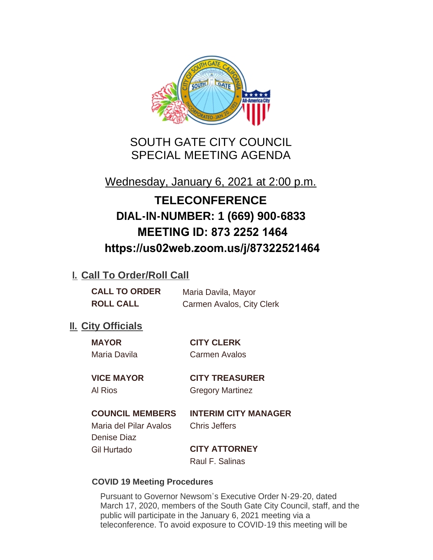

SOUTH GATE CITY COUNCIL SPECIAL MEETING AGENDA

Wednesday, January 6, 2021 at 2:00 p.m.

# **TELECONFERENCE DIAL-IN-NUMBER: 1 (669) 900-6833 MEETING ID: 873 2252 1464 https://us02web.zoom.us/j/87322521464**

# **I. Call To Order/Roll Call**

**CALL TO ORDER** Maria Davila, Mayor **ROLL CALL** Carmen Avalos, City Clerk

# **II.** City Officials

**MAYOR CITY CLERK** Maria Davila Carmen Avalos

**VICE MAYOR CITY TREASURER** Al Rios Gregory Martinez

# **COUNCIL MEMBERS INTERIM CITY MANAGER**

Maria del Pilar Avalos Chris Jeffers Denise Diaz Gil Hurtado **CITY ATTORNEY**

Raul F. Salinas

### **COVID 19 Meeting Procedures**

Pursuant to Governor Newsom's Executive Order N-29-20, dated March 17, 2020, members of the South Gate City Council, staff, and the public will participate in the January 6, 2021 meeting via a teleconference. To avoid exposure to COVID-19 this meeting will be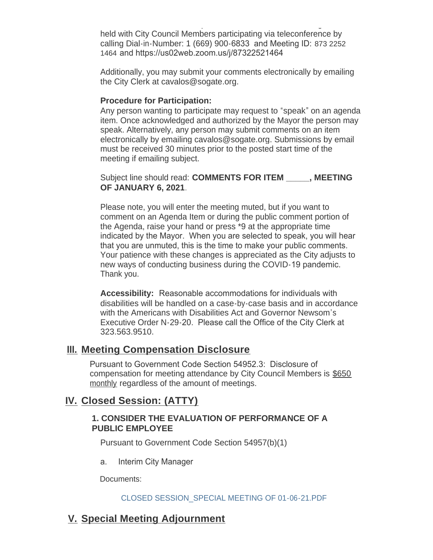teleconference. To avoid exposure to COVID-19 this meeting will be held with City Council Members participating via teleconference by calling Dial-in-Number: 1 (669) 900-6833 and Meeting ID: 873 2252 1464 and https://us02web.zoom.us/j/87322521464

Additionally, you may submit your comments electronically by emailing the City Clerk at cavalos@sogate.org.

#### **Procedure for Participation:**

Any person wanting to participate may request to "speak" on an agenda item. Once acknowledged and authorized by the Mayor the person may speak. Alternatively, any person may submit comments on an item electronically by emailing cavalos@sogate.org. Submissions by email must be received 30 minutes prior to the posted start time of the meeting if emailing subject.

Subject line should read: **COMMENTS FOR ITEM \_\_\_\_\_, MEETING OF JANUARY 6, 2021**.

Please note, you will enter the meeting muted, but if you want to comment on an Agenda Item or during the public comment portion of the Agenda, raise your hand or press \*9 at the appropriate time indicated by the Mayor. When you are selected to speak, you will hear that you are unmuted, this is the time to make your public comments. Your patience with these changes is appreciated as the City adjusts to new ways of conducting business during the COVID-19 pandemic. Thank you.

**Accessibility:** Reasonable accommodations for individuals with disabilities will be handled on a case-by-case basis and in accordance with the Americans with Disabilities Act and Governor Newsom's Executive Order N-29-20. Please call the Office of the City Clerk at 323.563.9510.

# **Meeting Compensation Disclosure III.**

Pursuant to Government Code Section 54952.3: Disclosure of compensation for meeting attendance by City Council Members is \$650 monthly regardless of the amount of meetings.

# **Closed Session: (ATTY) IV.**

#### **1. CONSIDER THE EVALUATION OF PERFORMANCE OF A PUBLIC EMPLOYEE**

Pursuant to Government Code Section 54957(b)(1)

a. Interim City Manager

Documents:

#### CLOSED SESSION\_SPECIAL MEETING OF 01-06-21.PDF

# **Special Meeting Adjournment V.**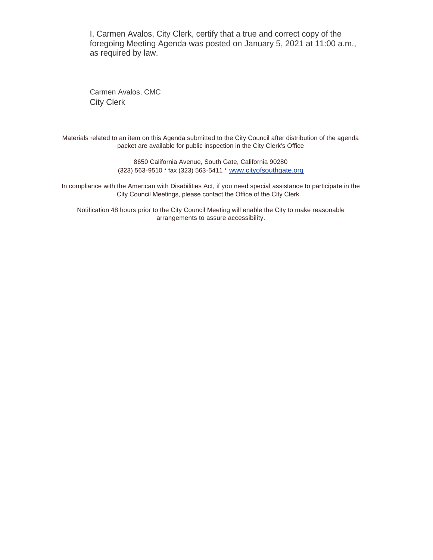I, Carmen Avalos, City Clerk, certify that a true and correct copy of the foregoing Meeting Agenda was posted on January 5, 2021 at 11:00 a.m., as required by law.

Carmen Avalos, CMC City Clerk

Materials related to an item on this Agenda submitted to the City Council after distribution of the agenda packet are available for public inspection in the City Clerk's Office

> 8650 California Avenue, South Gate, California 90280 (323) 563-9510 \* fax (323) 563-5411 \* [www.cityofsouthgate.org](http://www.cityofsouthgate.org/)

In compliance with the American with Disabilities Act, if you need special assistance to participate in the City Council Meetings, please contact the Office of the City Clerk.

Notification 48 hours prior to the City Council Meeting will enable the City to make reasonable arrangements to assure accessibility.